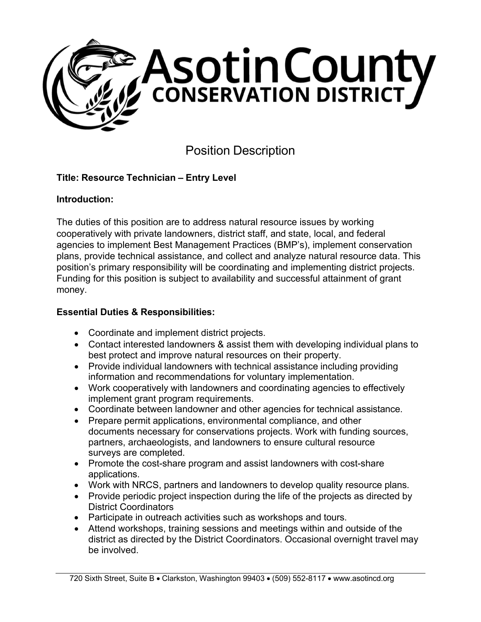

# Position Description

# **Title: Resource Technician – Entry Level**

#### **Introduction:**

The duties of this position are to address natural resource issues by working cooperatively with private landowners, district staff, and state, local, and federal agencies to implement Best Management Practices (BMP's), implement conservation plans, provide technical assistance, and collect and analyze natural resource data. This position's primary responsibility will be coordinating and implementing district projects. Funding for this position is subject to availability and successful attainment of grant money.

#### **Essential Duties & Responsibilities:**

- Coordinate and implement district projects.
- Contact interested landowners & assist them with developing individual plans to best protect and improve natural resources on their property.
- Provide individual landowners with technical assistance including providing information and recommendations for voluntary implementation.
- Work cooperatively with landowners and coordinating agencies to effectively implement grant program requirements.
- Coordinate between landowner and other agencies for technical assistance.
- Prepare permit applications, environmental compliance, and other documents necessary for conservations projects. Work with funding sources, partners, archaeologists, and landowners to ensure cultural resource surveys are completed.
- Promote the cost-share program and assist landowners with cost-share applications.
- Work with NRCS, partners and landowners to develop quality resource plans.
- Provide periodic project inspection during the life of the projects as directed by District Coordinators
- Participate in outreach activities such as workshops and tours.
- Attend workshops, training sessions and meetings within and outside of the district as directed by the District Coordinators. Occasional overnight travel may be involved.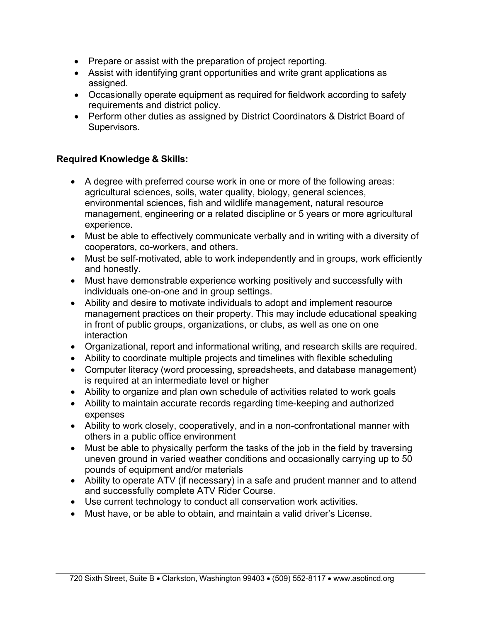- Prepare or assist with the preparation of project reporting.
- Assist with identifying grant opportunities and write grant applications as assigned.
- Occasionally operate equipment as required for fieldwork according to safety requirements and district policy.
- Perform other duties as assigned by District Coordinators & District Board of Supervisors.

## **Required Knowledge & Skills:**

- A degree with preferred course work in one or more of the following areas: agricultural sciences, soils, water quality, biology, general sciences, environmental sciences, fish and wildlife management, natural resource management, engineering or a related discipline or 5 years or more agricultural experience.
- Must be able to effectively communicate verbally and in writing with a diversity of cooperators, co-workers, and others.
- Must be self-motivated, able to work independently and in groups, work efficiently and honestly.
- Must have demonstrable experience working positively and successfully with individuals one-on-one and in group settings.
- Ability and desire to motivate individuals to adopt and implement resource management practices on their property. This may include educational speaking in front of public groups, organizations, or clubs, as well as one on one interaction
- Organizational, report and informational writing, and research skills are required.
- Ability to coordinate multiple projects and timelines with flexible scheduling
- Computer literacy (word processing, spreadsheets, and database management) is required at an intermediate level or higher
- Ability to organize and plan own schedule of activities related to work goals
- Ability to maintain accurate records regarding time-keeping and authorized expenses
- Ability to work closely, cooperatively, and in a non-confrontational manner with others in a public office environment
- Must be able to physically perform the tasks of the job in the field by traversing uneven ground in varied weather conditions and occasionally carrying up to 50 pounds of equipment and/or materials
- Ability to operate ATV (if necessary) in a safe and prudent manner and to attend and successfully complete ATV Rider Course.
- Use current technology to conduct all conservation work activities.
- Must have, or be able to obtain, and maintain a valid driver's License.